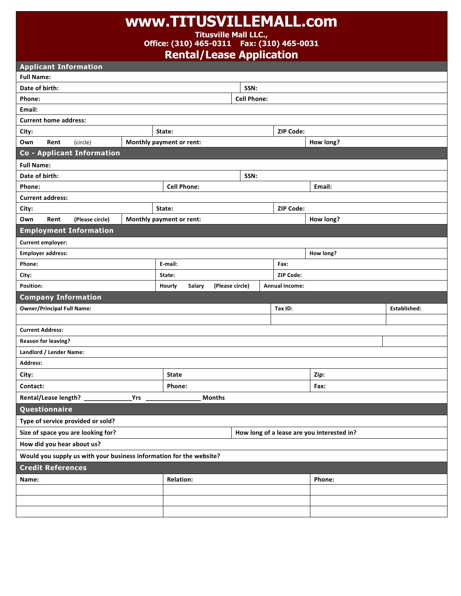## **www.TITUSVILLEMALL.com**

**Titusville Mall LLC.,** 

**Office: (310) 465-0311 Fax: (310) 465-0031**

**Rental/Lease Application**

| <b>Applicant Information</b> |                                   |                                    |                    |                                                                     |                 |                  |                                            |              |  |  |
|------------------------------|-----------------------------------|------------------------------------|--------------------|---------------------------------------------------------------------|-----------------|------------------|--------------------------------------------|--------------|--|--|
| <b>Full Name:</b>            |                                   |                                    |                    |                                                                     |                 |                  |                                            |              |  |  |
| Date of birth:<br>SSN:       |                                   |                                    |                    |                                                                     |                 |                  |                                            |              |  |  |
| Phone:                       | <b>Cell Phone:</b>                |                                    |                    |                                                                     |                 |                  |                                            |              |  |  |
| Email:                       |                                   |                                    |                    |                                                                     |                 |                  |                                            |              |  |  |
| <b>Current home address:</b> |                                   |                                    |                    |                                                                     |                 |                  |                                            |              |  |  |
| City:                        |                                   |                                    |                    | State:                                                              |                 | <b>ZIP Code:</b> |                                            |              |  |  |
| Own                          | Rent                              | (circle)                           |                    | Monthly payment or rent:                                            |                 |                  | How long?                                  |              |  |  |
|                              |                                   | <b>Co - Applicant Information</b>  |                    |                                                                     |                 |                  |                                            |              |  |  |
| <b>Full Name:</b>            |                                   |                                    |                    |                                                                     |                 |                  |                                            |              |  |  |
| Date of birth:               |                                   |                                    |                    |                                                                     | SSN:            |                  |                                            |              |  |  |
| Phone:                       |                                   |                                    | <b>Cell Phone:</b> |                                                                     |                 | Email:           |                                            |              |  |  |
|                              | <b>Current address:</b>           |                                    |                    |                                                                     |                 |                  |                                            |              |  |  |
| City:                        |                                   |                                    |                    | <b>ZIP Code:</b><br>State:                                          |                 |                  |                                            |              |  |  |
| Own                          | Rent                              | (Please circle)                    |                    | Monthly payment or rent:                                            |                 |                  | How long?                                  |              |  |  |
|                              |                                   | <b>Employment Information</b>      |                    |                                                                     |                 |                  |                                            |              |  |  |
| Current employer:            |                                   |                                    |                    |                                                                     |                 |                  |                                            |              |  |  |
| <b>Employer address:</b>     |                                   |                                    |                    |                                                                     |                 | How long?        |                                            |              |  |  |
| Phone:                       |                                   |                                    |                    | E-mail:                                                             |                 | Fax:             |                                            |              |  |  |
| City:                        |                                   |                                    |                    | State:                                                              |                 | ZIP Code:        |                                            |              |  |  |
|                              |                                   |                                    |                    |                                                                     |                 |                  |                                            |              |  |  |
| Position:                    |                                   |                                    |                    | Hourly<br>Salary                                                    | (Please circle) | Annual income:   |                                            |              |  |  |
|                              |                                   | <b>Company Information</b>         |                    |                                                                     |                 |                  |                                            |              |  |  |
|                              | <b>Owner/Principal Full Name:</b> |                                    |                    |                                                                     |                 | Tax ID:          |                                            | Established: |  |  |
|                              |                                   |                                    |                    |                                                                     |                 |                  |                                            |              |  |  |
| <b>Current Address:</b>      |                                   |                                    |                    |                                                                     |                 |                  |                                            |              |  |  |
|                              | <b>Reason for leaving?</b>        |                                    |                    |                                                                     |                 |                  |                                            |              |  |  |
|                              | Landlord / Lender Name:           |                                    |                    |                                                                     |                 |                  |                                            |              |  |  |
| <b>Address:</b>              |                                   |                                    |                    |                                                                     |                 |                  |                                            |              |  |  |
| City:                        |                                   |                                    |                    | <b>State</b>                                                        |                 |                  | Zip:                                       |              |  |  |
| Contact:                     |                                   |                                    |                    | Phone:                                                              |                 |                  | Fax:                                       |              |  |  |
|                              | Rental/Lease length? _            |                                    | <b>Yrs</b>         | <b>Months</b>                                                       |                 |                  |                                            |              |  |  |
|                              | Questionnaire                     |                                    |                    |                                                                     |                 |                  |                                            |              |  |  |
|                              |                                   | Type of service provided or sold?  |                    |                                                                     |                 |                  |                                            |              |  |  |
|                              |                                   | Size of space you are looking for? |                    |                                                                     |                 |                  | How long of a lease are you interested in? |              |  |  |
|                              |                                   | How did you hear about us?         |                    |                                                                     |                 |                  |                                            |              |  |  |
|                              |                                   |                                    |                    | Would you supply us with your business information for the website? |                 |                  |                                            |              |  |  |
|                              | <b>Credit References</b>          |                                    |                    |                                                                     |                 |                  |                                            |              |  |  |
| Name:                        |                                   |                                    |                    | <b>Relation:</b>                                                    |                 |                  | Phone:                                     |              |  |  |
|                              |                                   |                                    |                    |                                                                     |                 |                  |                                            |              |  |  |
|                              |                                   |                                    |                    |                                                                     |                 |                  |                                            |              |  |  |